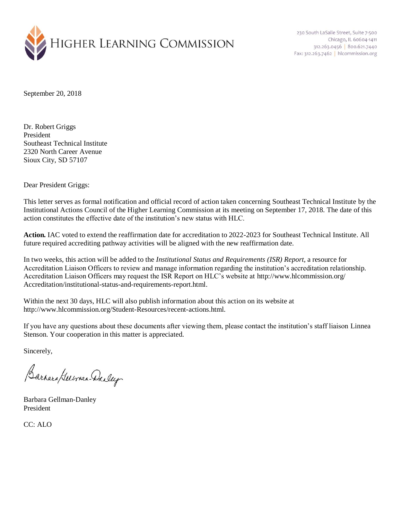

230 South LaSalle Street, Suite 7-500 Chicago, IL 60604-1411 312.263.0456 800.621.7440 Fax: 312.263.7462 | hlcommission.org

September 20, 2018

Dr. Robert Griggs President Southeast Technical Institute 2320 North Career Avenue Sioux City, SD 57107

Dear President Griggs:

This letter serves as formal notification and official record of action taken concerning Southeast Technical Institute by the Institutional Actions Council of the Higher Learning Commission at its meeting on September 17, 2018. The date of this action constitutes the effective date of the institution's new status with HLC.

**Action.** IAC voted to extend the reaffirmation date for accreditation to 2022-2023 for Southeast Technical Institute. All future required accrediting pathway activities will be aligned with the new reaffirmation date.

In two weeks, this action will be added to the *Institutional Status and Requirements (ISR) Report*, a resource for Accreditation Liaison Officers to review and manage information regarding the institution's accreditation relationship. Accreditation Liaison Officers may request the ISR Report on HLC's website at http://www.hlcommission.org/ Accreditation/institutional-status-and-requirements-report.html.

Within the next 30 days, HLC will also publish information about this action on its website at http://www.hlcommission.org/Student-Resources/recent-actions.html.

If you have any questions about these documents after viewing them, please contact the institution's staff liaison Linnea Stenson. Your cooperation in this matter is appreciated.

Sincerely,

Barnara German-Dailey

Barbara Gellman-Danley President

CC: ALO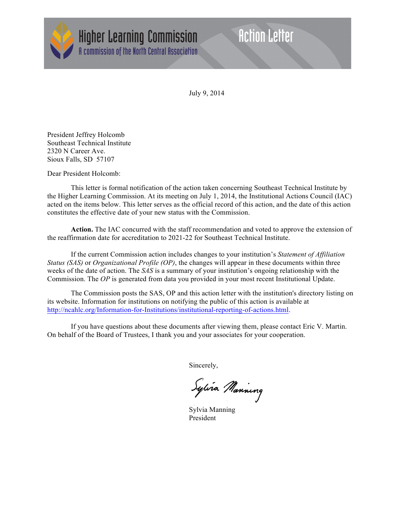

**Higher Learning Commission** A commission of the North Central Association

## **Action Letter**

July 9, 2014

President Jeffrey Holcomb Southeast Technical Institute 2320 N Career Ave. Sioux Falls, SD 57107

Dear President Holcomb:

This letter is formal notification of the action taken concerning Southeast Technical Institute by the Higher Learning Commission. At its meeting on July 1, 2014, the Institutional Actions Council (IAC) acted on the items below. This letter serves as the official record of this action, and the date of this action constitutes the effective date of your new status with the Commission.

**Action.** The IAC concurred with the staff recommendation and voted to approve the extension of the reaffirmation date for accreditation to 2021-22 for Southeast Technical Institute.

If the current Commission action includes changes to your institution's *Statement of Affiliation Status (SAS)* or *Organizational Profile (OP)*, the changes will appear in these documents within three weeks of the date of action. The *SAS* is a summary of your institution's ongoing relationship with the Commission. The *OP* is generated from data you provided in your most recent Institutional Update.

The Commission posts the SAS, OP and this action letter with the institution's directory listing on its website. Information for institutions on notifying the public of this action is available at http://ncahlc.org/Information-for-Institutions/institutional-reporting-of-actions.html.

If you have questions about these documents after viewing them, please contact Eric V. Martin. On behalf of the Board of Trustees, I thank you and your associates for your cooperation.

Sincerely,

Sylvia Manning

Sylvia Manning President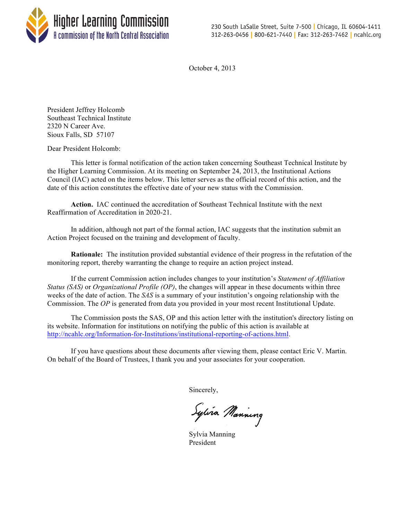

October 4, 2013

President Jeffrey Holcomb Southeast Technical Institute 2320 N Career Ave. Sioux Falls, SD 57107

Dear President Holcomb:

This letter is formal notification of the action taken concerning Southeast Technical Institute by the Higher Learning Commission. At its meeting on September 24, 2013, the Institutional Actions Council (IAC) acted on the items below. This letter serves as the official record of this action, and the date of this action constitutes the effective date of your new status with the Commission.

**Action.** IAC continued the accreditation of Southeast Technical Institute with the next Reaffirmation of Accreditation in 2020-21.

In addition, although not part of the formal action, IAC suggests that the institution submit an Action Project focused on the training and development of faculty.

**Rationale:** The institution provided substantial evidence of their progress in the refutation of the monitoring report, thereby warranting the change to require an action project instead.

If the current Commission action includes changes to your institution's *Statement of Affiliation Status (SAS)* or *Organizational Profile (OP)*, the changes will appear in these documents within three weeks of the date of action. The *SAS* is a summary of your institution's ongoing relationship with the Commission. The *OP* is generated from data you provided in your most recent Institutional Update.

The Commission posts the SAS, OP and this action letter with the institution's directory listing on its website. Information for institutions on notifying the public of this action is available at http://ncahlc.org/Information-for-Institutions/institutional-reporting-of-actions.html.

If you have questions about these documents after viewing them, please contact Eric V. Martin. On behalf of the Board of Trustees, I thank you and your associates for your cooperation.

Sincerely,

Sylvia Manning

Sylvia Manning President